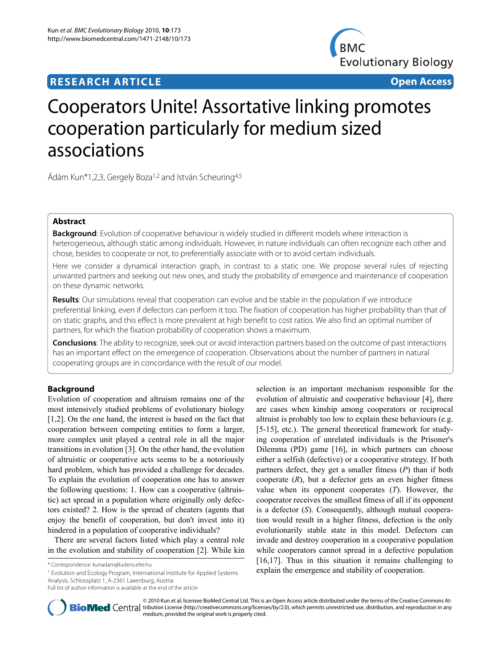## **RESEARCH ARTICLE Open Access**



# Cooperators Unite! Assortative linking promotes cooperation particularly for medium sized associations

Ádám Kun\*1,2,3, Gergely Boza1,2 and István Scheuring4,5

## **Abstract**

**Background**: Evolution of cooperative behaviour is widely studied in different models where interaction is heterogeneous, although static among individuals. However, in nature individuals can often recognize each other and chose, besides to cooperate or not, to preferentially associate with or to avoid certain individuals.

Here we consider a dynamical interaction graph, in contrast to a static one. We propose several rules of rejecting unwanted partners and seeking out new ones, and study the probability of emergence and maintenance of cooperation on these dynamic networks.

**Results**: Our simulations reveal that cooperation can evolve and be stable in the population if we introduce preferential linking, even if defectors can perform it too. The fixation of cooperation has higher probability than that of on static graphs, and this effect is more prevalent at high benefit to cost ratios. We also find an optimal number of partners, for which the fixation probability of cooperation shows a maximum.

**Conclusions**: The ability to recognize, seek out or avoid interaction partners based on the outcome of past interactions has an important effect on the emergence of cooperation. Observations about the number of partners in natural cooperating groups are in concordance with the result of our model.

## **Background**

Evolution of cooperation and altruism remains one of the most intensively studied problems of evolutionary biology [[1](#page-8-0)[,2](#page-8-1)]. On the one hand, the interest is based on the fact that cooperation between competing entities to form a larger, more complex unit played a central role in all the major transitions in evolution [\[3\]](#page-8-2). On the other hand, the evolution of altruistic or cooperative acts seems to be a notoriously hard problem, which has provided a challenge for decades. To explain the evolution of cooperation one has to answer the following questions: 1. How can a cooperative (altruistic) act spread in a population where originally only defectors existed? 2. How is the spread of cheaters (agents that enjoy the benefit of cooperation, but don't invest into it) hindered in a population of cooperative individuals?

There are several factors listed which play a central role in the evolution and stability of cooperation [[2](#page-8-1)]. While kin

1 Evolution and Ecology Program, International Institute for Applied Systems Analysis, Schlossplatz 1, A-2361 Laxenburg, Austria

selection is an important mechanism responsible for the evolution of altruistic and cooperative behaviour [\[4](#page-8-3)], there are cases when kinship among cooperators or reciprocal altruist is probably too low to explain these behaviours (e.g. [[5](#page-8-4)[-15\]](#page-8-5), etc.). The general theoretical framework for studying cooperation of unrelated individuals is the Prisoner's Dilemma (PD) game [[16](#page-8-6)], in which partners can choose either a selfish (defective) or a cooperative strategy. If both partners defect, they get a smaller fitness (*P*) than if both cooperate  $(R)$ , but a defector gets an even higher fitness value when its opponent cooperates (*T*). However, the cooperator receives the smallest fitness of all if its opponent is a defector (*S*). Consequently, although mutual cooperation would result in a higher fitness, defection is the only evolutionarily stable state in this model. Defectors can invade and destroy cooperation in a cooperative population while cooperators cannot spread in a defective population [[16,](#page-8-6)[17\]](#page-8-7). Thus in this situation it remains challenging to \* Correspondence: kunadam@ludens.elte.hu<br>
Fivolution and Ecology Program International Institute for Applied Systems explain the emergence and stability of cooperation.



© 2010 Kun et al; licensee BioMed Central Ltd. This is an Open Access article distributed under the terms of the Creative Commons At-**Bio Med** Central tribution License (http://creativecommons.org/licenses/by/2.0), which permits unrestricted use, distribution, and reproduction in any medium, provided the original work is properly cited.

Full list of author information is available at the end of the article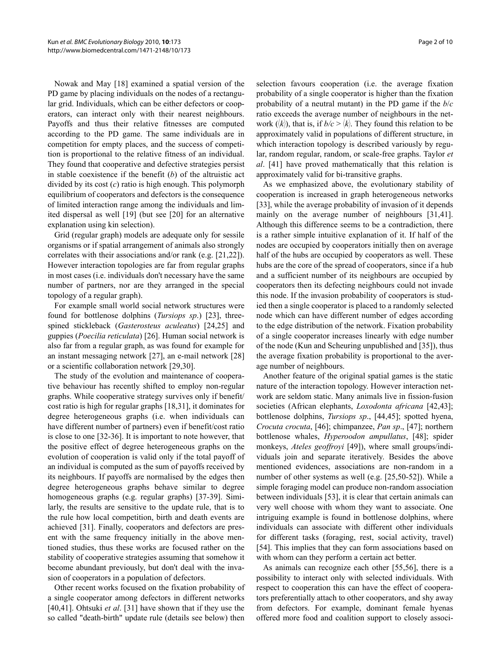Nowak and May [\[18\]](#page-8-8) examined a spatial version of the PD game by placing individuals on the nodes of a rectangular grid. Individuals, which can be either defectors or cooperators, can interact only with their nearest neighbours. Payoffs and thus their relative fitnesses are computed according to the PD game. The same individuals are in competition for empty places, and the success of competition is proportional to the relative fitness of an individual. They found that cooperative and defective strategies persist in stable coexistence if the benefit (*b*) of the altruistic act divided by its cost (*c*) ratio is high enough. This polymorph equilibrium of cooperators and defectors is the consequence of limited interaction range among the individuals and limited dispersal as well [\[19\]](#page-8-9) (but see [[20](#page-8-10)] for an alternative explanation using kin selection).

Grid (regular graph) models are adequate only for sessile organisms or if spatial arrangement of animals also strongly correlates with their associations and/or rank (e.g. [[21](#page-8-11),[22\]](#page-8-12)). However interaction topologies are far from regular graphs in most cases (i.e. individuals don't necessary have the same number of partners, nor are they arranged in the special topology of a regular graph).

For example small world social network structures were found for bottlenose dolphins (*Tursiops sp*.) [[23](#page-8-13)], threespined stickleback (*Gasterosteus aculeatus*) [[24,](#page-8-14)[25\]](#page-8-15) and guppies (*Poecilia reticulata*) [[26\]](#page-8-16). Human social network is also far from a regular graph, as was found for example for an instant messaging network [[27](#page-8-17)], an e-mail network [[28](#page-8-18)] or a scientific collaboration network [\[29](#page-8-19),[30](#page-8-20)].

The study of the evolution and maintenance of cooperative behaviour has recently shifted to employ non-regular graphs. While cooperative strategy survives only if benefit/ cost ratio is high for regular graphs [[18,](#page-8-8)[31\]](#page-8-21), it dominates for degree heterogeneous graphs (i.e. when individuals can have different number of partners) even if benefit/cost ratio is close to one [[32](#page-8-22)-[36](#page-8-23)]. It is important to note however, that the positive effect of degree heterogeneous graphs on the evolution of cooperation is valid only if the total payoff of an individual is computed as the sum of payoffs received by its neighbours. If payoffs are normalised by the edges then degree heterogeneous graphs behave similar to degree homogeneous graphs (e.g. regular graphs) [[37-](#page-8-24)[39\]](#page-8-25). Similarly, the results are sensitive to the update rule, that is to the rule how local competition, birth and death events are achieved [\[31\]](#page-8-21). Finally, cooperators and defectors are present with the same frequency initially in the above mentioned studies, thus these works are focused rather on the stability of cooperative strategies assuming that somehow it become abundant previously, but don't deal with the invasion of cooperators in a population of defectors.

Other recent works focused on the fixation probability of a single cooperator among defectors in different networks [[40,](#page-8-26)[41\]](#page-8-27). Ohtsuki *et al*. [[31](#page-8-21)] have shown that if they use the so called "death-birth" update rule (details see below) then

selection favours cooperation (i.e. the average fixation probability of a single cooperator is higher than the fixation probability of a neutral mutant) in the PD game if the *b*/*c* ratio exceeds the average number of neighbours in the network  $(\langle k \rangle)$ , that is, if  $b/c > \langle k \rangle$ . They found this relation to be approximately valid in populations of different structure, in which interaction topology is described variously by regular, random regular, random, or scale-free graphs. Taylor *et al*. [[41](#page-8-27)] have proved mathematically that this relation is approximately valid for bi-transitive graphs.

As we emphasized above, the evolutionary stability of cooperation is increased in graph heterogeneous networks [[33\]](#page-8-28), while the average probability of invasion of it depends mainly on the average number of neighbours [[31,](#page-8-21)[41\]](#page-8-27). Although this difference seems to be a contradiction, there is a rather simple intuitive explanation of it. If half of the nodes are occupied by cooperators initially then on average half of the hubs are occupied by cooperators as well. These hubs are the core of the spread of cooperators, since if a hub and a sufficient number of its neighbours are occupied by cooperators then its defecting neighbours could not invade this node. If the invasion probability of cooperators is studied then a single cooperator is placed to a randomly selected node which can have different number of edges according to the edge distribution of the network. Fixation probability of a single cooperator increases linearly with edge number of the node (Kun and Scheuring unpublished and [\[35](#page-8-29)]), thus the average fixation probability is proportional to the average number of neighbours.

Another feature of the original spatial games is the static nature of the interaction topology. However interaction network are seldom static. Many animals live in fission-fusion societies (African elephants, *Loxodonta africana* [[42](#page-8-30),[43\]](#page-8-31); bottlenose dolphins, *Tursiops sp*., [\[44](#page-8-32)[,45](#page-8-33)]; spotted hyena, *Crocuta crocuta*, [[46](#page-8-34)]; chimpanzee, *Pan sp*., [[47\]](#page-8-35); northern bottlenose whales, *Hyperoodon ampullatus*, [[48](#page-8-36)]; spider monkeys, *Ateles geoffroyi* [[49\]](#page-8-37)), where small groups/individuals join and separate iteratively. Besides the above mentioned evidences, associations are non-random in a number of other systems as well (e.g. [\[25](#page-8-15),[50](#page-8-38)-[52](#page-8-39)]). While a simple foraging model can produce non-random association between individuals [\[53\]](#page-9-0), it is clear that certain animals can very well choose with whom they want to associate. One intriguing example is found in bottlenose dolphins, where individuals can associate with different other individuals for different tasks (foraging, rest, social activity, travel) [[54\]](#page-9-1). This implies that they can form associations based on with whom can they perform a certain act better.

As animals can recognize each other [\[55](#page-9-2),[56](#page-9-3)], there is a possibility to interact only with selected individuals. With respect to cooperation this can have the effect of cooperators preferentially attach to other cooperators, and shy away from defectors. For example, dominant female hyenas offered more food and coalition support to closely associ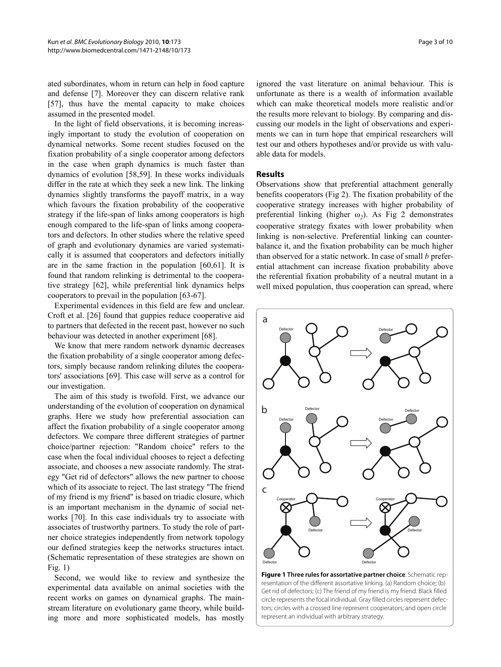ated subordinates, whom in return can help in food capture and defense [[7\]](#page-8-40). Moreover they can discern relative rank [[57\]](#page-9-4), thus have the mental capacity to make choices assumed in the presented model.

In the light of field observations, it is becoming increasingly important to study the evolution of cooperation on dynamical networks. Some recent studies focused on the fixation probability of a single cooperator among defectors in the case when graph dynamics is much faster than dynamics of evolution [\[58](#page-9-5)[,59](#page-9-6)]. In these works individuals differ in the rate at which they seek a new link. The linking dynamics slightly transforms the payoff matrix, in a way which favours the fixation probability of the cooperative strategy if the life-span of links among cooperators is high enough compared to the life-span of links among cooperators and defectors. In other studies where the relative speed of graph and evolutionary dynamics are varied systematically it is assumed that cooperators and defectors initially are in the same fraction in the population [[60](#page-9-7)[,61](#page-9-8)]. It is found that random relinking is detrimental to the cooperative strategy [[62\]](#page-9-9), while preferential link dynamics helps cooperators to prevail in the population [[63](#page-9-10)-[67\]](#page-9-11).

Experimental evidences in this field are few and unclear. Croft et al. [[26](#page-8-16)] found that guppies reduce cooperative aid to partners that defected in the recent past, however no such behaviour was detected in another experiment [[68\]](#page-9-12).

We know that mere random network dynamic decreases the fixation probability of a single cooperator among defectors, simply because random relinking dilutes the cooperators' associations [[69](#page-9-13)]. This case will serve as a control for our investigation.

The aim of this study is twofold. First, we advance our understanding of the evolution of cooperation on dynamical graphs. Here we study how preferential association can affect the fixation probability of a single cooperator among defectors. We compare three different strategies of partner choice/partner rejection: "Random choice" refers to the case when the focal individual chooses to reject a defecting associate, and chooses a new associate randomly. The strategy "Get rid of defectors" allows the new partner to choose which of its associate to reject. The last strategy "The friend of my friend is my friend" is based on triadic closure, which is an important mechanism in the dynamic of social networks [[70\]](#page-9-14). In this case individuals try to associate with associates of trustworthy partners. To study the role of partner choice strategies independently from network topology our defined strategies keep the networks structures intact. (Schematic representation of these strategies are shown on Fig. [1\)](#page-2-0)

Second, we would like to review and synthesize the experimental data available on animal societies with the recent works on games on dynamical graphs. The mainstream literature on evolutionary game theory, while building more and more sophisticated models, has mostly

ignored the vast literature on animal behaviour. This is unfortunate as there is a wealth of information available which can make theoretical models more realistic and/or the results more relevant to biology. By comparing and discussing our models in the light of observations and experiments we can in turn hope that empirical researchers will test our and others hypotheses and/or provide us with valuable data for models.

#### **Results**

Observations show that preferential attachment generally benefits cooperators (Fig [2\)](#page-3-0). The fixation probability of the cooperative strategy increases with higher probability of preferential linking (higher  $\omega_2$ ). As Fig [2](#page-3-0) demonstrates cooperative strategy fixates with lower probability when linking is non-selective. Preferential linking can counterbalance it, and the fixation probability can be much higher than observed for a static network. In case of small *b* preferential attachment can increase fixation probability above the referential fixation probability of a neutral mutant in a well mixed population, thus cooperation can spread, where

<span id="page-2-0"></span>

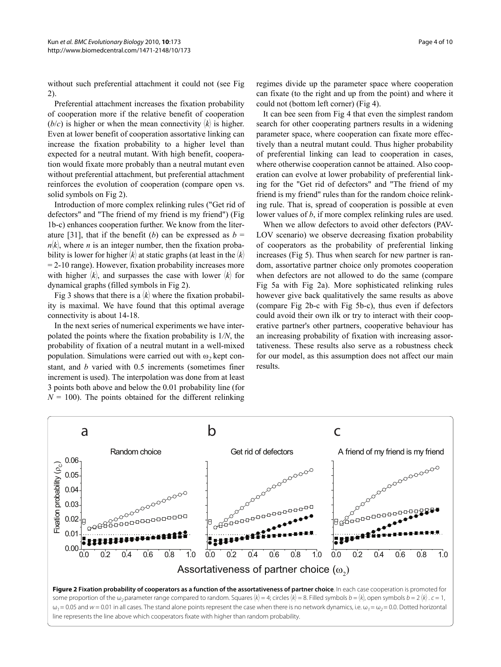without such preferential attachment it could not (see Fig [2\)](#page-3-0).

Preferential attachment increases the fixation probability of cooperation more if the relative benefit of cooperation  $(b/c)$  is higher or when the mean connectivity  $\langle k \rangle$  is higher. Even at lower benefit of cooperation assortative linking can increase the fixation probability to a higher level than expected for a neutral mutant. With high benefit, cooperation would fixate more probably than a neutral mutant even without preferential attachment, but preferential attachment reinforces the evolution of cooperation (compare open vs. solid symbols on Fig [2\)](#page-3-0).

Introduction of more complex relinking rules ("Get rid of defectors" and "The friend of my friend is my friend") (Fig [1b](#page-2-0)-c) enhances cooperation further. We know from the liter-ature [\[31](#page-8-21)], that if the benefit (*b*) can be expressed as  $b =$  $n\langle k \rangle$ , where *n* is an integer number, then the fixation probability is lower for higher  $\langle k \rangle$  at static graphs (at least in the  $\langle k \rangle$ = 2-10 range). However, fixation probability increases more with higher  $\langle k \rangle$ , and surpasses the case with lower  $\langle k \rangle$  for dynamical graphs (filled symbols in Fig [2](#page-3-0)).

Fig [3](#page-4-0) shows that there is a  $\langle k \rangle$  where the fixation probability is maximal. We have found that this optimal average connectivity is about 14-18.

In the next series of numerical experiments we have interpolated the points where the fixation probability is 1*/N*, the probability of fixation of a neutral mutant in a well-mixed population. Simulations were carried out with ω*2* kept constant, and *b* varied with 0.5 increments (sometimes finer increment is used). The interpolation was done from at least 3 points both above and below the 0.01 probability line (for  $N = 100$ ). The points obtained for the different relinking

It can bee seen from Fig [4](#page-4-1) that even the simplest random search for other cooperating partners results in a widening parameter space, where cooperation can fixate more effectively than a neutral mutant could. Thus higher probability of preferential linking can lead to cooperation in cases, where otherwise cooperation cannot be attained. Also cooperation can evolve at lower probability of preferential linking for the "Get rid of defectors" and "The friend of my friend is my friend" rules than for the random choice relinking rule. That is, spread of cooperation is possible at even lower values of *b*, if more complex relinking rules are used.

When we allow defectors to avoid other defectors (PAV-LOV scenario) we observe decreasing fixation probability of cooperators as the probability of preferential linking increases (Fig [5](#page-5-0)). Thus when search for new partner is random, assortative partner choice only promotes cooperation when defectors are not allowed to do the same (compare Fig [5a](#page-5-0) with Fig [2a](#page-3-0)). More sophisticated relinking rules however give back qualitatively the same results as above (compare Fig [2b](#page-3-0)-c with Fig [5b](#page-5-0)-c), thus even if defectors could avoid their own ilk or try to interact with their cooperative partner's other partners, cooperative behaviour has an increasing probability of fixation with increasing assortativeness. These results also serve as a robustness check for our model, as this assumption does not affect our main results.

<span id="page-3-0"></span>

some proportion of the  $\omega_2$ parameter range compared to random. Squares (k) = 4; circles (k) = 8. Filled symbols b = (k), open symbols b = 2 (k) .  $c$  = 1,  $\omega_1 = 0.05$  and  $w = 0.01$  in all cases. The stand alone points represent the case when there is no network dynamics, i.e.  $\omega_1 = \omega_2 = 0.0$ . Dotted horizontal line represents the line above which cooperators fixate with higher than random probability.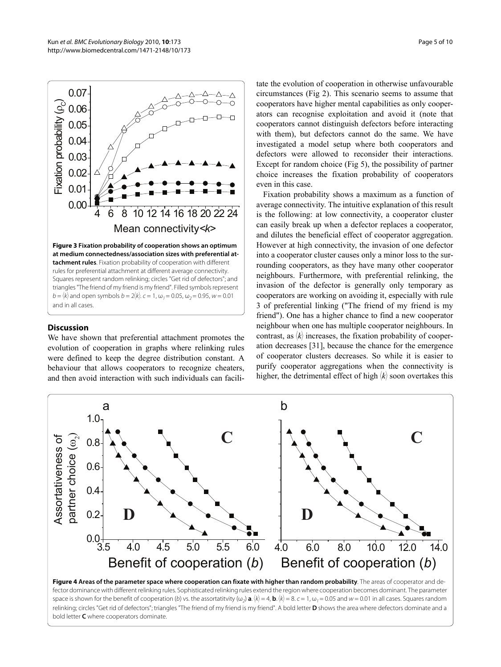<span id="page-4-0"></span>

rules for preferential attachment at different average connectivity. Squares represent random relinking; circles "Get rid of defectors"; and triangles "The friend of my friend is my friend". Filled symbols represent b =  $\langle k \rangle$  and open symbols b = 2 $\langle k \rangle$ . c = 1,  $\omega_1$  = 0.05,  $\omega_2$  = 0.95, w = 0.01 and in all cases.

## **Discussion**

We have shown that preferential attachment promotes the evolution of cooperation in graphs where relinking rules were defined to keep the degree distribution constant. A behaviour that allows cooperators to recognize cheaters, and then avoid interaction with such individuals can facilitate the evolution of cooperation in otherwise unfavourable circumstances (Fig [2](#page-3-0)). This scenario seems to assume that cooperators have higher mental capabilities as only cooperators can recognise exploitation and avoid it (note that cooperators cannot distinguish defectors before interacting with them), but defectors cannot do the same. We have investigated a model setup where both cooperators and defectors were allowed to reconsider their interactions. Except for random choice (Fig [5](#page-5-0)), the possibility of partner choice increases the fixation probability of cooperators even in this case.

Fixation probability shows a maximum as a function of average connectivity. The intuitive explanation of this result is the following: at low connectivity, a cooperator cluster can easily break up when a defector replaces a cooperator, and dilutes the beneficial effect of cooperator aggregation. However at high connectivity, the invasion of one defector into a cooperator cluster causes only a minor loss to the surrounding cooperators, as they have many other cooperator neighbours. Furthermore, with preferential relinking, the invasion of the defector is generally only temporary as cooperators are working on avoiding it, especially with rule 3 of preferential linking ("The friend of my friend is my friend"). One has a higher chance to find a new cooperator neighbour when one has multiple cooperator neighbours. In contrast, as  $\langle k \rangle$  increases, the fixation probability of cooperation decreases [[31](#page-8-21)], because the chance for the emergence of cooperator clusters decreases. So while it is easier to purify cooperator aggregations when the connectivity is higher, the detrimental effect of high  $\langle k \rangle$  soon overtakes this

<span id="page-4-1"></span>

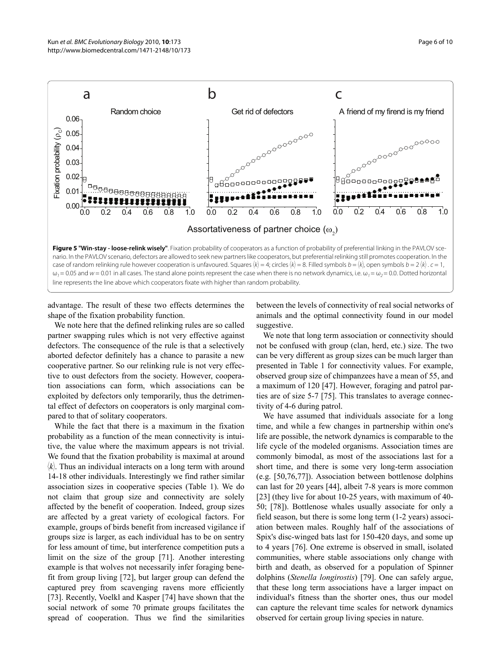<span id="page-5-0"></span>

nario. In the PAVLOV scenario, defectors are allowed to seek new partners like cooperators, but preferential relinking still promotes cooperation. In the case of random relinking rule however cooperation is unfavoured. Squares (k) = 4; circles (k) = 8. Filled symbols  $b = \langle k \rangle$ , open symbols  $b = 2$  (k) .  $c = 1$ ,  $\omega_1 = 0.05$  and  $w = 0.01$  in all cases. The stand alone points represent the case when there is no network dynamics, i.e.  $\omega_1 = \omega_2 = 0.0$ . Dotted horizontal line represents the line above which cooperators fixate with higher than random probability.

advantage. The result of these two effects determines the shape of the fixation probability function.

We note here that the defined relinking rules are so called partner swapping rules which is not very effective against defectors. The consequence of the rule is that a selectively aborted defector definitely has a chance to parasite a new cooperative partner. So our relinking rule is not very effective to oust defectors from the society. However, cooperation associations can form, which associations can be exploited by defectors only temporarily, thus the detrimental effect of defectors on cooperators is only marginal compared to that of solitary cooperators.

While the fact that there is a maximum in the fixation probability as a function of the mean connectivity is intuitive, the value where the maximum appears is not trivial. We found that the fixation probability is maximal at around  $\langle k \rangle$ . Thus an individual interacts on a long term with around 14-18 other individuals. Interestingly we find rather similar association sizes in cooperative species (Table [1](#page-6-0)). We do not claim that group size and connectivity are solely affected by the benefit of cooperation. Indeed, group sizes are affected by a great variety of ecological factors. For example, groups of birds benefit from increased vigilance if groups size is larger, as each individual has to be on sentry for less amount of time, but interference competition puts a limit on the size of the group [[71\]](#page-9-15). Another interesting example is that wolves not necessarily infer foraging benefit from group living [[72\]](#page-9-16), but larger group can defend the captured prey from scavenging ravens more efficiently [[73\]](#page-9-17). Recently, Voelkl and Kasper [[74\]](#page-9-18) have shown that the social network of some 70 primate groups facilitates the spread of cooperation. Thus we find the similarities

between the levels of connectivity of real social networks of animals and the optimal connectivity found in our model suggestive.

We note that long term association or connectivity should not be confused with group (clan, herd, etc.) size. The two can be very different as group sizes can be much larger than presented in Table 1 for connectivity values. For example, observed group size of chimpanzees have a mean of 55, and a maximum of 120 [[47\]](#page-8-35). However, foraging and patrol parties are of size 5-7 [[75\]](#page-9-19). This translates to average connectivity of 4-6 during patrol.

We have assumed that individuals associate for a long time, and while a few changes in partnership within one's life are possible, the network dynamics is comparable to the life cycle of the modeled organisms. Association times are commonly bimodal, as most of the associations last for a short time, and there is some very long-term association (e.g. [[50,](#page-8-38)[76](#page-9-20)[,77](#page-9-21)]). Association between bottlenose dolphins can last for 20 years [[44](#page-8-32)], albeit 7-8 years is more common [[23\]](#page-8-13) (they live for about 10-25 years, with maximum of 40-50; [[78](#page-9-22)]). Bottlenose whales usually associate for only a field season, but there is some long term (1-2 years) association between males. Roughly half of the associations of Spix's disc-winged bats last for 150-420 days, and some up to 4 years [\[76](#page-9-20)]. One extreme is observed in small, isolated communities, where stable associations only change with birth and death, as observed for a population of Spinner dolphins (*Stenella longirostis*) [[79](#page-9-23)]. One can safely argue, that these long term associations have a larger impact on individual's fitness than the shorter ones, thus our model can capture the relevant time scales for network dynamics observed for certain group living species in nature.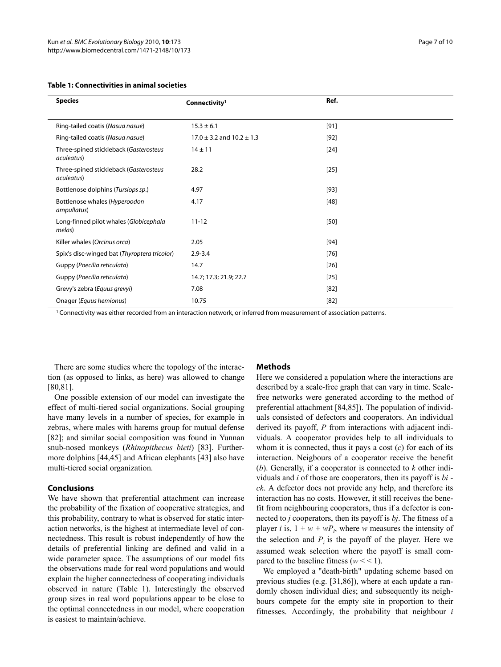| <b>Species</b>                                       | Connectivity <sup>1</sup>         | Ref.   |
|------------------------------------------------------|-----------------------------------|--------|
| Ring-tailed coatis (Nasua nasue)                     | $15.3 \pm 6.1$                    | $[91]$ |
| Ring-tailed coatis (Nasua nasue)                     | $17.0 \pm 3.2$ and $10.2 \pm 1.3$ | $[92]$ |
| Three-spined stickleback (Gasterosteus<br>aculeatus) | $14 \pm 11$                       | $[24]$ |
| Three-spined stickleback (Gasterosteus<br>aculeatus) | 28.2                              | $[25]$ |
| Bottlenose dolphins (Tursiops sp.)                   | 4.97                              | $[93]$ |
| Bottlenose whales (Hyperoodon<br>ampullatus)         | 4.17                              | $[48]$ |
| Long-finned pilot whales (Globicephala<br>melas)     | $11 - 12$                         | $[50]$ |
| Killer whales (Orcinus orca)                         | 2.05                              | $[94]$ |
| Spix's disc-winged bat (Thyroptera tricolor)         | $2.9 - 3.4$                       | $[76]$ |
| Guppy (Poecilia reticulata)                          | 14.7                              | $[26]$ |
| Guppy (Poecilia reticulata)                          | 14.7; 17.3; 21.9; 22.7            | $[25]$ |
| Grevy's zebra (Equus grevyi)                         | 7.08                              | $[82]$ |
| Onager (Equus hemionus)                              | 10.75                             | $[82]$ |

#### <span id="page-6-0"></span>**Table 1: Connectivities in animal societies**

1 Connectivity was either recorded from an interaction network, or inferred from measurement of association patterns.

There are some studies where the topology of the interaction (as opposed to links, as here) was allowed to change [[80,](#page-9-29)[81\]](#page-9-30).

One possible extension of our model can investigate the effect of multi-tiered social organizations. Social grouping have many levels in a number of species, for example in zebras, where males with harems group for mutual defense [[82\]](#page-9-28); and similar social composition was found in Yunnan snub-nosed monkeys (*Rhinopithecus bieti*) [\[83](#page-9-31)]. Furthermore dolphins [[44,](#page-8-32)[45\]](#page-8-33) and African elephants [\[43](#page-8-31)] also have multi-tiered social organization.

## **Conclusions**

We have shown that preferential attachment can increase the probability of the fixation of cooperative strategies, and this probability, contrary to what is observed for static interaction networks, is the highest at intermediate level of connectedness. This result is robust independently of how the details of preferential linking are defined and valid in a wide parameter space. The assumptions of our model fits the observations made for real word populations and would explain the higher connectedness of cooperating individuals observed in nature (Table [1](#page-6-0)). Interestingly the observed group sizes in real word populations appear to be close to the optimal connectedness in our model, where cooperation is easiest to maintain/achieve.

#### **Methods**

Here we considered a population where the interactions are described by a scale-free graph that can vary in time. Scalefree networks were generated according to the method of preferential attachment [\[84](#page-9-32)[,85](#page-9-33)]). The population of individuals consisted of defectors and cooperators. An individual derived its payoff, *P* from interactions with adjacent individuals. A cooperator provides help to all individuals to whom it is connected, thus it pays a cost (*c*) for each of its interaction. Neigbours of a cooperator receive the benefit (*b*). Generally, if a cooperator is connected to *k* other individuals and *i* of those are cooperators, then its payoff is *bi ck*. A defector does not provide any help, and therefore its interaction has no costs. However, it still receives the benefit from neighbouring cooperators, thus if a defector is connected to *j* cooperators, then its payoff is *bj*. The fitness of a player *i* is,  $1 + w + wP_i$ , where *w* measures the intensity of the selection and  $P_i$  is the payoff of the player. Here we assumed weak selection where the payoff is small compared to the baseline fitness  $(w \lt \lt 1)$ .

We employed a "death-birth" updating scheme based on previous studies (e.g. [\[31](#page-8-21)[,86](#page-9-34)]), where at each update a randomly chosen individual dies; and subsequently its neighbours compete for the empty site in proportion to their fitnesses. Accordingly, the probability that neighbour *i*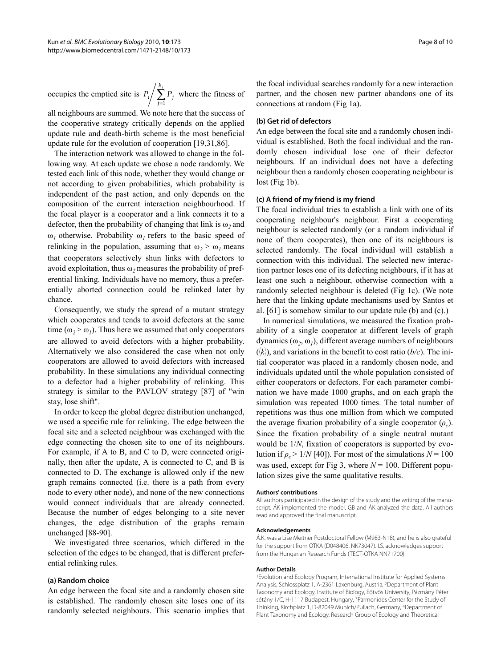occupies the emptied site is  $P_i / \sum_{j=1}^{n} P_j$  where the fitness of *ki*  $\sum_{j=1}$ 

all neighbours are summed. We note here that the success of the cooperative strategy critically depends on the applied update rule and death-birth scheme is the most beneficial update rule for the evolution of cooperation [\[19](#page-8-9)[,31](#page-8-21),[86\]](#page-9-34).

The interaction network was allowed to change in the following way. At each update we chose a node randomly. We tested each link of this node, whether they would change or not according to given probabilities, which probability is independent of the past action, and only depends on the composition of the current interaction neighbourhood. If the focal player is a cooperator and a link connects it to a defector, then the probability of changing that link is  $\omega_2$  and ω*1* otherwise. Probability ω*1* refers to the basic speed of relinking in the population, assuming that  $\omega_2 > \omega_1$  means that cooperators selectively shun links with defectors to avoid exploitation, thus ω*2* measures the probability of preferential linking. Individuals have no memory, thus a preferentially aborted connection could be relinked later by chance.

Consequently, we study the spread of a mutant strategy which cooperates and tends to avoid defectors at the same time ( $\omega_2$   $> \omega_1$ ). Thus here we assumed that only cooperators are allowed to avoid defectors with a higher probability. Alternatively we also considered the case when not only cooperators are allowed to avoid defectors with increased probability. In these simulations any individual connecting to a defector had a higher probability of relinking. This strategy is similar to the PAVLOV strategy [\[87](#page-9-35)] of "win stay, lose shift".

In order to keep the global degree distribution unchanged, we used a specific rule for relinking. The edge between the focal site and a selected neighbour was exchanged with the edge connecting the chosen site to one of its neighbours. For example, if A to B, and C to D, were connected originally, then after the update, A is connected to C, and B is connected to D. The exchange is allowed only if the new graph remains connected (i.e. there is a path from every node to every other node), and none of the new connections would connect individuals that are already connected. Because the number of edges belonging to a site never changes, the edge distribution of the graphs remain unchanged [[88-](#page-9-36)[90\]](#page-9-37).

We investigated three scenarios, which differed in the selection of the edges to be changed, that is different preferential relinking rules.

#### **(a) Random choice**

An edge between the focal site and a randomly chosen site is established. The randomly chosen site loses one of its randomly selected neighbours. This scenario implies that

the focal individual searches randomly for a new interaction partner, and the chosen new partner abandons one of its connections at random (Fig [1a](#page-2-0)).

#### **(b) Get rid of defectors**

An edge between the focal site and a randomly chosen individual is established. Both the focal individual and the randomly chosen individual lose one of their defector neighbours. If an individual does not have a defecting neighbour then a randomly chosen cooperating neighbour is lost (Fig [1b](#page-2-0)).

#### **(c) A friend of my friend is my friend**

The focal individual tries to establish a link with one of its cooperating neighbour's neighbour. First a cooperating neighbour is selected randomly (or a random individual if none of them cooperates), then one of its neighbours is selected randomly. The focal individual will establish a connection with this individual. The selected new interaction partner loses one of its defecting neighbours, if it has at least one such a neighbour, otherwise connection with a randomly selected neighbour is deleted (Fig [1](#page-2-0)c). (We note here that the linking update mechanisms used by Santos et al. [[61\]](#page-9-8) is somehow similar to our update rule (b) and (c).)

In numerical simulations, we measured the fixation probability of a single cooperator at different levels of graph dynamics (ω*2*, ω*1*), different average numbers of neighbours  $(k)$ , and variations in the benefit to cost ratio ( $b/c$ ). The initial cooperator was placed in a randomly chosen node, and individuals updated until the whole population consisted of either cooperators or defectors. For each parameter combination we have made 1000 graphs, and on each graph the simulation was repeated 1000 times. The total number of repetitions was thus one million from which we computed the average fixation probability of a single cooperator  $(\rho_c)$ . Since the fixation probability of a single neutral mutant would be 1/*N*, fixation of cooperators is supported by evolution if  $\rho_c$  > 1/*N* [[40](#page-8-26)]). For most of the simulations *N* = 100 was used, except for Fig [3,](#page-4-0) where  $N = 100$ . Different population sizes give the same qualitative results.

#### **Authors' contributions**

All authors participated in the design of the study and the writing of the manuscript. ÁK implemented the model. GB and ÁK analyzed the data. All authors read and approved the final manuscript.

#### **Acknowledgements**

Á.K. was a Lise Meitner Postdoctoral Fellow (M983-N18), and he is also grateful for the support from OTKA (D048406, NK73047). I.S. acknowledges support from the Hungarian Research Funds (TECT-OTKA NN71700).

#### **Author Details**

1Evolution and Ecology Program, International Institute for Applied Systems Analysis, Schlossplatz 1, A-2361 Laxenburg, Austria, 2Department of Plant Taxonomy and Ecology, Institute of Biology, Eötvös University, Pázmány Péter sétány 1/C, H-1117 Budapest, Hungary, <sup>3</sup>Parmenides Center for the Study of Thinking, Kirchplatz 1, D-82049 Munich/Pullach, Germany, 4Department of Plant Taxonomy and Ecology, Research Group of Ecology and Theoretical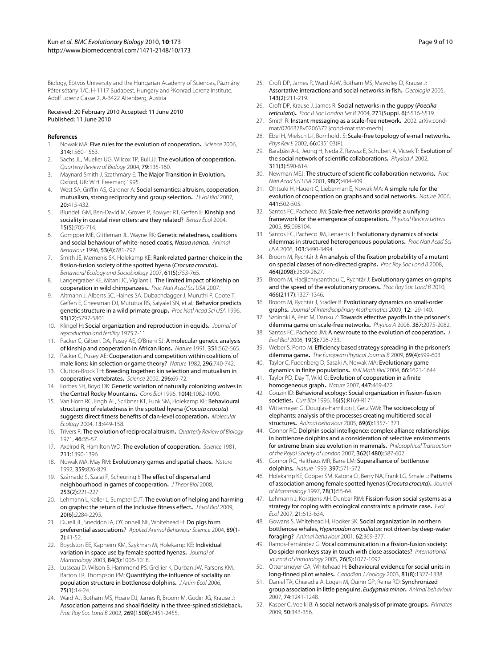Biology, Eötvös University and the Hungarian Academy of Sciences, Pázmány Péter sétány 1/C, H-1117 Budapest, Hungary and <sup>5</sup>Konrad Lorenz Institute, Adolf Lorenz Gasse 2, A-3422 Altenberg, Austria

#### Received: 20 February 2010 Accepted: 11 June 2010 Published: 11 June 2010

#### **References**

- <span id="page-8-0"></span>1. Nowak MA: Five rules for the evolution of cooperation**[.](http://www.ncbi.nlm.nih.gov/entrez/query.fcgi?cmd=Retrieve&db=PubMed&dopt=Abstract&list_uids=17158317)** Science 2006, 314:1560-1563.
- <span id="page-8-1"></span>2. Sachs JL, Mueller UG, Wilcox TP, Bull JJ: The evolution of cooperation**[.](http://www.ncbi.nlm.nih.gov/entrez/query.fcgi?cmd=Retrieve&db=PubMed&dopt=Abstract&list_uids=15232949)** Quarterly Review of Biology 2004, 79:135-160.
- <span id="page-8-2"></span>3. Maynard Smith J, Szathmáry E: The Major Transition in Evolution**.** Oxford, UK: W.H. Freeman; 1995.
- <span id="page-8-3"></span>4. West SA, Griffin AS, Gardner A: Social semantics: altruism, cooperation, mutualism, strong reciprocity and group selection**.** J Evol Biol 2007, 20:415-432.
- <span id="page-8-4"></span>Blundell GM, Ben-David M, Groves P, Bowyer RT, Geffen E: Kinship and sociality in coastal river otters: are they related? Behav Ecol 2004, 15(5):705-714.
- 6. Gompper ME, Gittleman JL, Wayne RK: Genetic relatedness, coalitions and social behaviour of white-nosed coatis, Nasua narica**.** Animal Behaviour 1996, 53(4):781-797.
- <span id="page-8-40"></span>7. Smith JE, Memenis SK, Holekamp KE: Rank-related partner choice in the fission-fusion society of the spotted hyena (Crocuta crocuta)**.** Behavioral Ecology and Sociobiology 2007, 61(5):753-765.
- 8. Langergraber KE, Mitani JC, Vigilant L: The limited impact of kinship on cooperation in wild chimpanzees**.** Proc Natl Acad Sci USA 2007.
- 9. Altmann J, Alberts SC, Haines SA, Dubachdagger J, Muruthi P, Coote T, Geffen E, Cheesman DJ, Mututua RS, Saiyalel SN, et al.: Behavior predicts genetic structure in a wild primate group**.** Proc Natl Acad Sci USA 1996, 93(12):5797-5801.
- 10. Klingel H: Social organization and reproduction in equids**.** Journal of reproduction and fertility 1975:7-11.
- 11. Packer C, Gilbert DA, Pusey AE, O'Brieni SJ: A molecular genetic analysis of kinship and cooperation in African lions**.** Nature 1991, 351:562-565.
- 12. Packer C, Pusey AE: Cooperation and competition within coalitions of male lions: kin selection or game theory? Nature 1982, 296:740-742.
- 13. Clutton-Brock TH: Breeding together: kin selection and mutualism in cooperative vertebrates**.** Science 2002, 296:69-72.
- 14. Forbes SH, Boyd DK: Genetic variation of naturally colonizing wolves in the Central Rocky Mountains**.** Cons Biol 1996, 10(4):1082-1090.
- <span id="page-8-5"></span>15. Van Horn RC, Engh AL, Scribner KT, Funk SM, Holekamp KE: Behavioural structuring of relatedness in the spotted hyena (Crocuta crocuta) suggests direct fitness benefits of clan-level cooperation**.** Molecular Ecology 2004, 13:449-158.
- <span id="page-8-6"></span>16. Trivers R: The evolution of reciprocal altruism**.** Quarterly Review of Biology 1971, 46:35-57.
- <span id="page-8-7"></span>17. Axelrod R, Hamilton WD: The evolution of cooperation**.** Science 1981, 211:1390-1396.
- <span id="page-8-8"></span>18. Nowak MA, May RM: Evolutionary games and spatial chaos**.** Nature 1992, 359:826-829.
- <span id="page-8-9"></span>19. Számadó S, Szalai F, Scheuring I: The effect of dispersal and neighbourhood in games of cooperation**.** J Theor Biol 2008, 253(2):221-227.
- <span id="page-8-10"></span>20. Lehmann L, Keller L, Sumpter DJT: The evolution of helping and harming on graphs: the return of the inclusive fitness effect**.** J Evol Biol 2009, 20(6):2284-2295.
- <span id="page-8-11"></span>21. Durell JL, Sneddon IA, O'Connell NE, Whitehead H: Do pigs form preferential associations? Applied Animal Behaviour Science 2004, 89(1-2):41-52.
- <span id="page-8-12"></span>22. Boydston EE, Kapheim KM, Szykman M, Holekamp KE: Individual variation in space use by female spotted hyenas**.** Journal of Mammalogy 2003, 84(3):1006-1018.
- <span id="page-8-13"></span>23. Lusseau D, Wilson B, Hammond PS, Grellier K, Durban JW, Parsons KM, Barton TR, Thompson PM: Quantifying the influence of sociality on population structure in bottlenose dolphins**.** J Anim Ecol 2006, 75(1):14-24.
- <span id="page-8-14"></span>24. Ward AJ, Botham MS, Hoare DJ, James R, Broom M, Godin JG, Krause J: Association patterns and shoal fidelity in the three-spined stickleback**.** Proc Roy Soc Lond B 2002, 269(1508):2451-2455.
- <span id="page-8-15"></span>25. Croft DP, James R, Ward AJW, Botham MS, Mawdley D, Krause J: Assortative interactions and social networks in fish**.** Oecologia 2005, 143(2):211-219.
- <span id="page-8-16"></span>26. Croft DP, Krause J, James R: Social networks in the guppy (Poecilia reticulata)**.** Proc R Soc London Ser B 2004, 271(Suppl. 6):S516-S519.
- <span id="page-8-17"></span>27. Smith R: Instant messaging as a scale-free network**.** 2002. arXiv:condmat/0206378v0206372 [cond-mat.stat-mech]
- <span id="page-8-18"></span>28. Ebel H, Mielsch L-I, Bornholdt S: Scale-free topology of e-mail networks**.** Phys Rev E 2002, 66:035103(R).
- <span id="page-8-19"></span>29. Barabási A-L, Jeong H, Neda Z, Ravasz E, Schubert A, Vicsek T: Evolution of the social network of scientific collaborations**.** Physica A 2002, 311(3):590-614.
- <span id="page-8-20"></span>30. Newman MEJ: The structure of scientific collaboration networks**.** Proc Natl Acad Sci USA 2001, 98(2):404-409.
- <span id="page-8-21"></span>31. Ohtsuki H, Hauert C, Lieberman E, Nowak MA: A simple rule for the evolution of cooperation on graphs and social networks**[.](http://www.ncbi.nlm.nih.gov/entrez/query.fcgi?cmd=Retrieve&db=PubMed&dopt=Abstract&list_uids=16724065)** Nature 2006, 441:502-505.
- <span id="page-8-22"></span>32. Santos FC, Pacheco JM: Scale-free networks provide a unifying framework for the emergence of cooperation**.** Physical Review Letters 2005, 95:098104.
- <span id="page-8-28"></span>33. Santos FC, Pacheco JM, Lenaerts T: Evolutionary dynamics of social dilemmas in structured heterogeneous populations**.** Proc Natl Acad Sci USA 2006, 103:3490-3494.
- 34. Broom M, Rychtár J: An analysis of the fixation probability of a mutant on special classes of non-directed graphs**.** Proc Roy Soc Lond B 2008, 464(2098):2609-2627.
- <span id="page-8-29"></span>35. Broom M, Hadjichrysanthou C, Rychtár J: Evolutionary games on graphs and the speed of the evolutionary process**.** Proc Roy Soc Lond B 2010, 466(2117):1327-1346.
- <span id="page-8-23"></span>36. Broom M, Rychtár J, Stadler B: Evolutionary dynamics on small-order graphs**.** Journal of Interdisciplinary Mathematics 2009, 12:129-140.
- <span id="page-8-24"></span>37. Szolnoki A, Perc M, Danku Z: Towards effective payoffs in the prisoner's dilemma game on scale-free networks**.** Physica A 2008, 387:2075-2082.
- 38. Santos FC, Pacheco JM: A new route to the evolution of cooperation**.** J Evol Biol 2006, 19(3):726-733.
- <span id="page-8-25"></span>39. Weber S, Porto M: Efficiency based strategy spreading in the prisoner's dilemma game**.** The European Physical Journal B 2009, 69(4):599-603.
- <span id="page-8-26"></span>40. Taylor C, Fudenberg D, Sasaki A, Nowak MA: Evolutionary game dynamics in finite populations**.** Bull Math Biol 2004, 66:1621-1644.
- <span id="page-8-27"></span>41. Taylor PD, Day T, Wild G: Evolution of cooperation in a finite homogeneous graph**.** Nature 2007, 447:469-472.
- <span id="page-8-30"></span>42. Couzin ID: Behavioral ecology: Social organization in fission-fusion societies**.** Curr Biol 1996, 16(5):R169-R171.
- <span id="page-8-31"></span>43. Wittemeyer G, Douglas-Hamilton I, Getz WM: The socioecology of elephants: analysis of the processes creating multitiered social structures**.** Animal behaviour 2005, 69(6):1357-1371.
- <span id="page-8-32"></span>44. Connor RC: Dolphin social intelligence: complex alliance relationships in bottlenose dolphins and a consideration of selective environments for extreme brain size evolution in mammals**.** Philosophical Transaction of the Royal Society of London 2007, 362(1480):587-602.
- <span id="page-8-33"></span>45. Connor RC, Heithaus MR, Barre LM: Superalliance of bottlenose dolphins**.** Nature 1999, 397:571-572.
- <span id="page-8-34"></span>46. Holekamp KE, Cooper SM, Katona CI, Berry NA, Frank LG, Smale L: Patterns of association among female spotted hyenas (Crocuta crocuta)**.** Journal of Mammalogy 1997, 78(1):55-64.
- <span id="page-8-35"></span>47. Lehmann J, Korstjens AH, Dunbar RIM: Fission-fusion social systems as a strategy for coping with ecological constraints: a primate case**.** Evol Ecol 2007, 21:613-634.
- <span id="page-8-36"></span>48. Gowans S, Whitehead H, Hooker SK: Social organization in northern bottlenose whales, Hyperoodon ampullatus: not driven by deep-water foraging? Animal behaviour 2001, 62:369-377.
- <span id="page-8-37"></span>49. Ramos-Fernández G: Vocal communication in a fission-fusion society: Do spider monkeys stay in touch with close associates? International Journal of Primatology 2005, 26(5):1077-1092.
- <span id="page-8-38"></span>50. Ottensmeyer CA, Whitehead H: Behavioural evidence for social units in long-finned pilot whales**.** Canadian J Zoology 2003, 81(8):1327-1338.
- 51. Daniel TA, Chiaradia A, Logan M, Quinn GP, Reina RD: Synchronized group association in little penguins, Eudyptula minor**.** Animal behaviour 2007, 74:1241-1248.
- <span id="page-8-39"></span>52. Kasper C, Voelkl B: A social network analysis of primate groups**.** Primates 2009, 50:343-356.